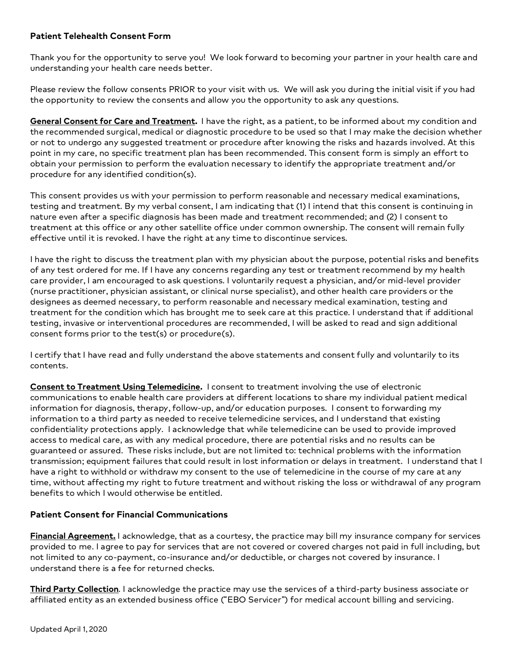### **Patient Telehealth Consent Form**

 Thank you for the opportunity to serve you! We look forward to becoming your partner in your health care and understanding your health care needs better.

 Please review the follow consents PRIOR to your visit with us. We will ask you during the initial visit if you had the opportunity to review the consents and allow you the opportunity to ask any questions.

 **General Consent for Care and Treatment.** I have the right, as a patient, to be informed about my condition and the recommended surgical, medical or diagnostic procedure to be used so that I may make the decision whether or not to undergo any suggested treatment or procedure after knowing the risks and hazards involved. At this point in my care, no specific treatment plan has been recommended. This consent form is simply an effort to obtain your permission to perform the evaluation necessary to identify the appropriate treatment and/or procedure for any identified condition(s).

 This consent provides us with your permission to perform reasonable and necessary medical examinations, testing and treatment. By my verbal consent, I am indicating that (1) I intend that this consent is continuing in nature even after a specific diagnosis has been made and treatment recommended; and (2) I consent to treatment at this office or any other satellite office under common ownership. The consent will remain fully effective until it is revoked. I have the right at any time to discontinue services.

 I have the right to discuss the treatment plan with my physician about the purpose, potential risks and benefits of any test ordered for me. If I have any concerns regarding any test or treatment recommend by my health care provider, I am encouraged to ask questions. I voluntarily request a physician, and/or mid-level provider (nurse practitioner, physician assistant, or clinical nurse specialist), and other health care providers or the designees as deemed necessary, to perform reasonable and necessary medical examination, testing and treatment for the condition which has brought me to seek care at this practice. I understand that if additional testing, invasive or interventional procedures are recommended, I will be asked to read and sign additional consent forms prior to the test(s) or procedure(s).

 I certify that I have read and fully understand the above statements and consent fully and voluntarily to its contents.

 **Consent to Treatment Using Telemedicine.** I consent to treatment involving the use of electronic information for diagnosis, therapy, follow-up, and/or education purposes. I consent to forwarding my confidentiality protections apply. I acknowledge that while telemedicine can be used to provide improved access to medical care, as with any medical procedure, there are potential risks and no results can be guaranteed or assured. These risks include, but are not limited to: technical problems with the information transmission; equipment failures that could result in lost information or delays in treatment. I understand that I have a right to withhold or withdraw my consent to the use of telemedicine in the course of my care at any time, without affecting my right to future treatment and without risking the loss or withdrawal of any program benefits to which I would otherwise be entitled. communications to enable health care providers at different locations to share my individual patient medical information to a third party as needed to receive telemedicine services, and I understand that existing

#### **Patient Consent for Financial Communications**

 **Financial Agreement.** I acknowledge, that as a courtesy, the practice may bill my insurance company for services provided to me. I agree to pay for services that are not covered or covered charges not paid in full including, but not limited to any co-payment, co-insurance and/or deductible, or charges not covered by insurance. I understand there is a fee for returned checks.

 **Third Party Collection**. I acknowledge the practice may use the services of a third-party business associate or affiliated entity as an extended business office ("EBO Servicer") for medical account billing and servicing.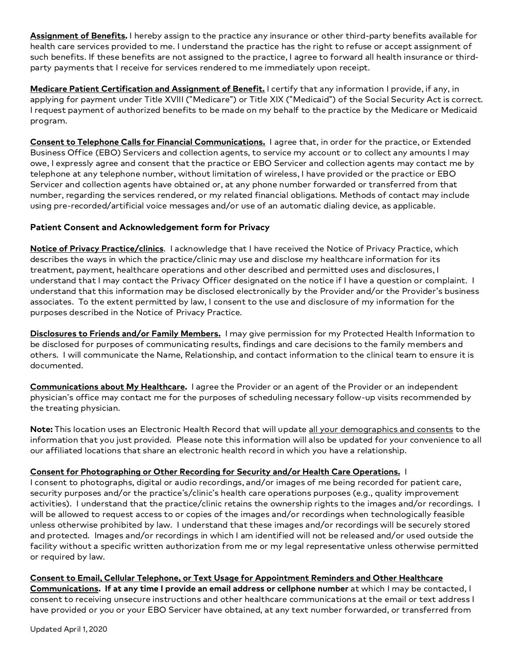**Assignment of Benefits.** I hereby assign to the practice any insurance or other third-party benefits available for health care services provided to me. I understand the practice has the right to refuse or accept assignment of such benefits. If these benefits are not assigned to the practice, I agree to forward all health insurance or third-party payments that I receive for services rendered to me immediately upon receipt.

 **Medicare Patient Certification and Assignment of Benefit.** I certify that any information I provide, if any, in applying for payment under Title XVIII ("Medicare") or Title XIX ("Medicaid") of the Social Security Act is correct. I request payment of authorized benefits to be made on my behalf to the practice by the Medicare or Medicaid program.

 **Consent to Telephone Calls for Financial Communications.** I agree that, in order for the practice, or Extended Business Office (EBO) Servicers and collection agents, to service my account or to collect any amounts I may owe, I expressly agree and consent that the practice or EBO Servicer and collection agents may contact me by telephone at any telephone number, without limitation of wireless, I have provided or the practice or EBO Servicer and collection agents have obtained or, at any phone number forwarded or transferred from that number, regarding the services rendered, or my related financial obligations. Methods of contact may include using pre-recorded/artificial voice messages and/or use of an automatic dialing device, as applicable.

### **Patient Consent and Acknowledgement form for Privacy**

 **Notice of Privacy Practice/clinics**. I acknowledge that I have received the Notice of Privacy Practice, which describes the ways in which the practice/clinic may use and disclose my healthcare information for its treatment, payment, healthcare operations and other described and permitted uses and disclosures, I understand that I may contact the Privacy Officer designated on the notice if I have a question or complaint. I understand that this information may be disclosed electronically by the Provider and/or the Provider's business associates. To the extent permitted by law, I consent to the use and disclosure of my information for the purposes described in the Notice of Privacy Practice.

 **Disclosures to Friends and/or Family Members.** I may give permission for my Protected Health Information to be disclosed for purposes of communicating results, findings and care decisions to the family members and others. I will communicate the Name, Relationship, and contact information to the clinical team to ensure it is documented.

 physician's office may contact me for the purposes of scheduling necessary follow-up visits recommended by **Communications about My Healthcare.** I agree the Provider or an agent of the Provider or an independent the treating physician.

 **Note:** This location uses an Electronic Health Record that will update all your demographics and consents to the information that you just provided. Please note this information will also be updated for your convenience to all our affiliated locations that share an electronic health record in which you have a relationship.

# **Consent for Photographing or Other Recording for Security and/or Health Care Operations.** I

 activities). I understand that the practice/clinic retains the ownership rights to the images and/or recordings. I will be allowed to request access to or copies of the images and/or recordings when technologically feasible unless otherwise prohibited by law. I understand that these images and/or recordings will be securely stored and protected. Images and/or recordings in which I am identified will not be released and/or used outside the facility without a specific written authorization from me or my legal representative unless otherwise permitted I consent to photographs, digital or audio recordings, and/or images of me being recorded for patient care, security purposes and/or the practice's/clinic's health care operations purposes (e.g., quality improvement or required by law.

# **Consent to Email, Cellular Telephone, or Text Usage for Appointment Reminders and Other Healthcare**

 **Communications. If at any time I provide an email address or cellphone number** at which I may be contacted, I consent to receiving unsecure instructions and other healthcare communications at the email or text address I have provided or you or your EBO Servicer have obtained, at any text number forwarded, or transferred from